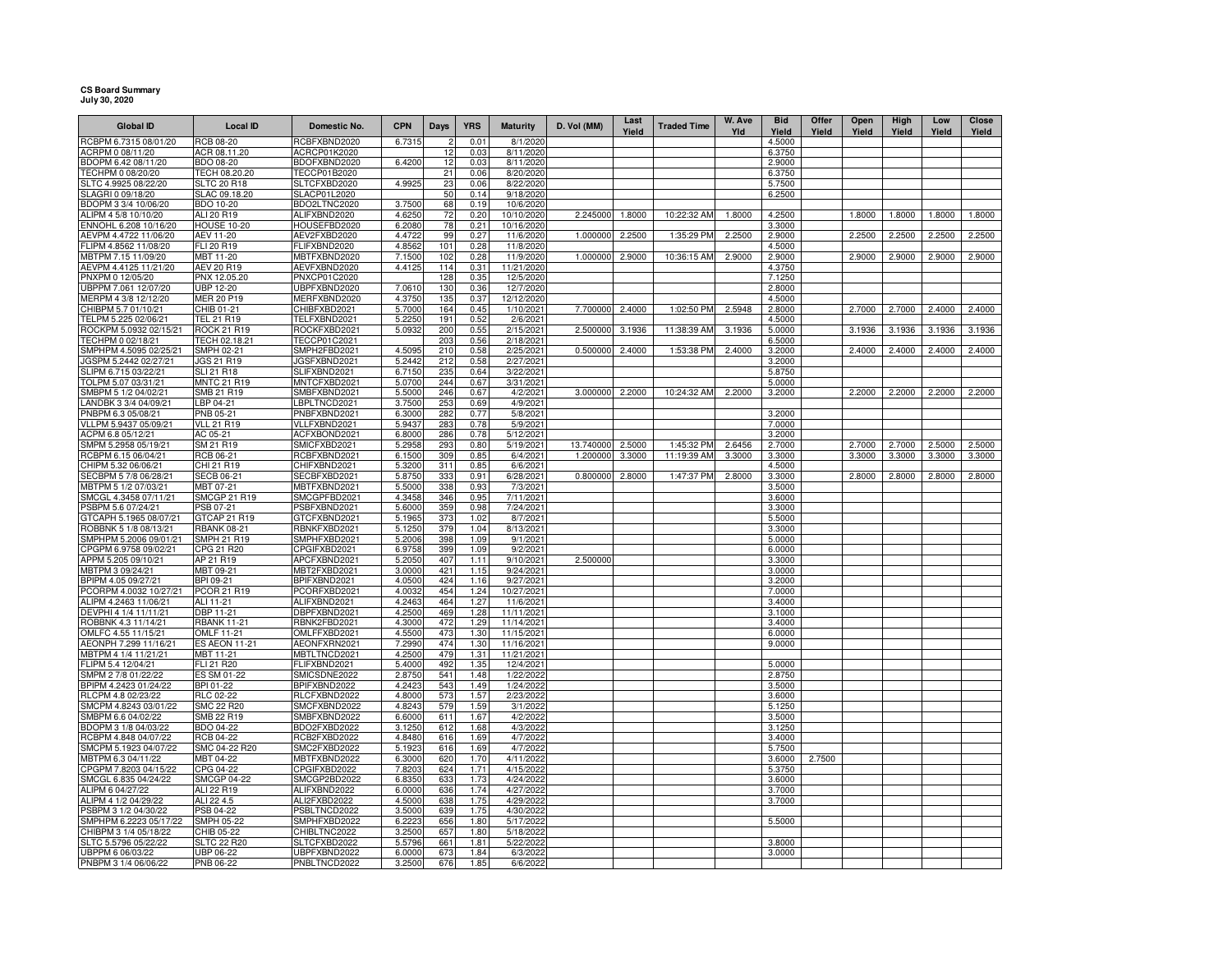## **CS Board Summary July 30, 2020**

| <b>Global ID</b>                                | <b>Local ID</b>                    | Domestic No.                 | <b>CPN</b>       | Days       | <b>YRS</b>   | <b>Maturity</b>          | D. Vol (MM) | Last   | <b>Traded Time</b> | W. Ave | <b>Bid</b>       | Offer  | Open   | High   | Low    | Close  |
|-------------------------------------------------|------------------------------------|------------------------------|------------------|------------|--------------|--------------------------|-------------|--------|--------------------|--------|------------------|--------|--------|--------|--------|--------|
| RCBPM 6.7315 08/01/20                           | RCB 08-20                          | RCBFXBND2020                 | 6.7315           | 2          | 0.01         | 8/1/2020                 |             | Yield  |                    | Yld    | Yield<br>4.5000  | Yield  | Yield  | Yield  | Yield  | Yield  |
| ACRPM 0 08/11/20                                | ACR 08.11.20                       | ACRCP01K2020                 |                  | 12         | 0.03         | 8/11/2020                |             |        |                    |        | 6.3750           |        |        |        |        |        |
| BDOPM 6.42 08/11/20                             | BDO 08-20                          | BDOFXBND2020                 | 6.4200           | 12         | 0.03         | 8/11/2020                |             |        |                    |        | 2.9000           |        |        |        |        |        |
| TECHPM 0 08/20/20                               | TECH 08.20.20                      | TECCP01B2020                 |                  | 21         | 0.06         | 8/20/2020                |             |        |                    |        | 6.3750           |        |        |        |        |        |
| SLTC 4.9925 08/22/20                            | <b>SLTC 20 R18</b>                 | SLTCFXBD2020                 | 4.9925           | 23         | 0.06         | 8/22/2020                |             |        |                    |        | 5.7500           |        |        |        |        |        |
| SLAGRI 0 09/18/20                               | SLAC 09.18.20                      | SLACP01L2020                 |                  | 50         | 0.14         | 9/18/2020                |             |        |                    |        | 6.2500           |        |        |        |        |        |
| BDOPM 3 3/4 10/06/20                            | BDO 10-20                          | BDO2LTNC2020                 | 3.7500           | 68         | 0.19         | 10/6/2020                |             |        |                    |        |                  |        |        |        |        |        |
| ALIPM 4 5/8 10/10/20                            | ALI 20 R19                         | ALIFXBND2020                 | 4.6250           | 72         | 0.20         | 10/10/2020               | 2.245000    | 1.8000 | 10:22:32 AM        | 1.8000 | 4.2500           |        | 1.8000 | 1.8000 | 1.8000 | 1.8000 |
| ENNOHL 6.208 10/16/20                           | <b>HOUSE 10-20</b>                 | HOUSEFBD2020                 | 6.2080           | 78         | 0.21         | 10/16/2020               |             |        |                    |        | 3.3000           |        |        |        |        |        |
| AEVPM 4.4722 11/06/20                           | AEV 11-20                          | AEV2FXBD2020                 | 4.4722           | 99         | 0.27         | 11/6/2020                | 1.000000    | 2.2500 | 1:35:29 PM         | 2.2500 | 2.9000           |        | 2.2500 | 2.2500 | 2.2500 | 2.2500 |
| FLIPM 4.8562 11/08/20                           | FLI 20 R19                         | FLIFXBND2020                 | 4.856            | 101        | 0.28         | 11/8/2020                |             |        |                    |        | 4.5000           |        |        |        |        |        |
| MBTPM 7.15 11/09/20<br>AEVPM 4.4125 11/21/20    | MBT 11-20<br>AEV 20 R19            | MBTFXBND2020<br>AEVFXBND2020 | 7.1500<br>4.4125 | 102<br>114 | 0.28<br>0.31 | 11/9/2020<br>11/21/2020  | 1.000000    | 2.9000 | 10:36:15 AM        | 2.9000 | 2.9000<br>4.3750 |        | 2.9000 | 2.9000 | 2.9000 | 2.9000 |
| PNXPM 0 12/05/20                                | PNX 12.05.20                       | <b>PNXCP01C2020</b>          |                  | 128        | 0.35         | 12/5/2020                |             |        |                    |        | 7.1250           |        |        |        |        |        |
| UBPPM 7.061 12/07/20                            | UBP 12-20                          | UBPFXBND2020                 | 7.0610           | 130        | 0.36         | 12/7/2020                |             |        |                    |        | 2.8000           |        |        |        |        |        |
| MERPM 4 3/8 12/12/20                            | <b>MER 20 P19</b>                  | MERFXBND2020                 | 4.3750           | 135        | 0.37         | 12/12/2020               |             |        |                    |        | 4.5000           |        |        |        |        |        |
| CHIBPM 5.7 01/10/21                             | CHIB 01-21                         | CHIBFXBD2021                 | 5.7000           | 164        | 0.45         | 1/10/2021                | 7.700000    | 2.4000 | 1:02:50 PM         | 2.5948 | 2.8000           |        | 2.7000 | 2.7000 | 2.4000 | 2.4000 |
| TELPM 5.225 02/06/21                            | <b>TEL 21 R19</b>                  | TELFXBND2021                 | 5.2250           | 191        | 0.52         | 2/6/2021                 |             |        |                    |        | 4.5000           |        |        |        |        |        |
| ROCKPM 5.0932 02/15/21                          | <b>ROCK 21 R19</b>                 | ROCKFXBD2021                 | 5.0932           | 200        | 0.55         | 2/15/2021                | 2.500000    | 3.1936 | 11:38:39 AM        | 3.1936 | 5.0000           |        | 3.1936 | 3.1936 | 3.1936 | 3.1936 |
| TECHPM 0 02/18/21                               | TECH 02.18.21                      | TECCP01C2021                 |                  | 203        | 0.56         | 2/18/2021                |             |        |                    |        | 6.5000           |        |        |        |        |        |
| SMPHPM 4.5095 02/25/21                          | <b>SMPH 02-21</b>                  | SMPH2FBD2021                 | 4.5095           | 210        | 0.58         | 2/25/2021                | 0.500000    | 2.4000 | 1:53:38 PM         | 2.4000 | 3.2000           |        | 2.4000 | 2.4000 | 2.4000 | 2.4000 |
| JGSPM 5.2442 02/27/21                           | <b>JGS 21 R19</b>                  | JGSFXBND2021                 | 5.2442           | 212        | 0.58         | 2/27/2021                |             |        |                    |        | 3.2000           |        |        |        |        |        |
| SLIPM 6.715 03/22/21                            | <b>SLI 21 R18</b>                  | SLIFXBND2021                 | 6.7150           | 235        | 0.64         | 3/22/2021                |             |        |                    |        | 5.8750           |        |        |        |        |        |
| TOLPM 5.07 03/31/21<br>SMBPM 5 1/2 04/02/21     | <b>MNTC 21 R19</b><br>SMB 21 R19   | MNTCFXBD2021<br>SMBFXBND2021 | 5.0700<br>5.5000 | 244<br>246 | 0.67<br>0.67 | 3/31/2021<br>4/2/2021    | 3.000000    | 2.2000 | 10:24:32 AM        | 2.2000 | 5.0000           |        | 2.2000 | 2.2000 | 2.2000 | 2.2000 |
| LANDBK 3 3/4 04/09/21                           | LBP 04-21                          | LBPLTNCD2021                 | 3.7500           | 253        | 0.69         | 4/9/2021                 |             |        |                    |        | 3.2000           |        |        |        |        |        |
| PNBPM 6.3 05/08/21                              | PNB 05-21                          | PNBFXBND2021                 | 6.3000           | 282        | 0.77         | 5/8/2021                 |             |        |                    |        | 3.2000           |        |        |        |        |        |
| VLLPM 5.9437 05/09/21                           | <b>VLL 21 R19</b>                  | VLLFXBND2021                 | 5.9437           | 283        | 0.78         | 5/9/2021                 |             |        |                    |        | 7.0000           |        |        |        |        |        |
| ACPM 6.8 05/12/21                               | AC 05-21                           | ACFXBOND2021                 | 6.8000           | 286        | 0.78         | 5/12/2021                |             |        |                    |        | 3.2000           |        |        |        |        |        |
| SMPM 5.2958 05/19/21                            | SM 21 R19                          | SMICFXBD2021                 | 5.2958           | 293        | 0.80         | 5/19/2021                | 13.740000   | 2.5000 | 1:45:32 PM         | 2.6456 | 2.7000           |        | 2.7000 | 2.7000 | 2.5000 | 2.5000 |
| RCBPM 6.15 06/04/21                             | RCB 06-21                          | RCBFXBND2021                 | 6.1500           | 309        | 0.85         | 6/4/2021                 | 1.200000    | 3.3000 | 11:19:39 AM        | 3.3000 | 3.3000           |        | 3.3000 | 3.3000 | 3.3000 | 3.3000 |
| CHIPM 5.32 06/06/21                             | CHI 21 R19                         | CHIFXBND2021                 | 5.3200           | 311        | 0.85         | 6/6/2021                 |             |        |                    |        | 4.5000           |        |        |        |        |        |
| SECBPM 5 7/8 06/28/21                           | <b>SECB 06-21</b>                  | SECBFXBD2021                 | 5.8750           | 333        | 0.91         | 6/28/2021                | 0.800000    | 2.8000 | 1:47:37 PM         | 2.8000 | 3.3000           |        | 2.8000 | 2.8000 | 2.8000 | 2.8000 |
| MBTPM 5 1/2 07/03/21                            | MBT 07-21                          | MBTFXBND2021                 | 5.5000           | 338        | 0.93         | 7/3/2021                 |             |        |                    |        | 3.5000           |        |        |        |        |        |
| SMCGL 4.3458 07/11/21                           | <b>SMCGP 21 R19</b>                | SMCGPFBD2021                 | 4.3458           | 346        | 0.95         | 7/11/2021                |             |        |                    |        | 3.6000           |        |        |        |        |        |
| PSBPM 5.6 07/24/21                              | PSB 07-21                          | PSBFXBND2021                 | 5.6000           | 359        | 0.98         | 7/24/2021                |             |        |                    |        | 3.3000           |        |        |        |        |        |
| GTCAPH 5.1965 08/07/21<br>ROBBNK 5 1/8 08/13/21 | GTCAP 21 R19<br><b>RBANK 08-21</b> | GTCFXBND2021<br>RBNKFXBD2021 | 5.1965<br>5.1250 | 373<br>379 | 1.02<br>1.04 | 8/7/2021<br>8/13/2021    |             |        |                    |        | 5.5000<br>3.3000 |        |        |        |        |        |
| SMPHPM 5.2006 09/01/21                          | SMPH 21 R19                        | SMPHFXBD2021                 | 5.2006           | 398        | 1.09         | 9/1/2021                 |             |        |                    |        | 5.0000           |        |        |        |        |        |
| CPGPM 6.9758 09/02/21                           | CPG 21 R20                         | CPGIFXBD2021                 | 6.9758           | 399        | 1.09         | 9/2/2021                 |             |        |                    |        | 6.0000           |        |        |        |        |        |
| APPM 5.205 09/10/21                             | AP 21 R19                          | APCFXBND2021                 | 5.2050           | 407        | 1.11         | 9/10/2021                | 2.500000    |        |                    |        | 3.3000           |        |        |        |        |        |
| MBTPM 3 09/24/21                                | MBT 09-21                          | MBT2FXBD2021                 | 3.0000           | 421        | 1.15         | 9/24/2021                |             |        |                    |        | 3.0000           |        |        |        |        |        |
| BPIPM 4.05 09/27/21                             | BPI 09-21                          | BPIFXBND2021                 | 4.0500           | 424        | 1.16         | 9/27/2021                |             |        |                    |        | 3.2000           |        |        |        |        |        |
| PCORPM 4.0032 10/27/21                          | <b>PCOR 21 R19</b>                 | PCORFXBD2021                 | 4.0032           | 454        | 1.24         | 10/27/2021               |             |        |                    |        | 7.0000           |        |        |        |        |        |
| ALIPM 4.2463 11/06/21                           | ALI 11-21                          | ALIFXBND2021                 | 4.2463           | 464        | 1.27         | 11/6/2021                |             |        |                    |        | 3.4000           |        |        |        |        |        |
| DEVPHI 4 1/4 11/11/21                           | <b>DBP 11-21</b>                   | DBPFXBND2021                 | 4.2500           | 469        | 1.28         | 11/11/2021               |             |        |                    |        | 3.1000           |        |        |        |        |        |
| ROBBNK 4.3 11/14/21                             | <b>RBANK 11-21</b>                 | RBNK2FBD2021                 | 4.3000           | 472        | 1.29         | 11/14/2021               |             |        |                    |        | 3.4000           |        |        |        |        |        |
| OMLFC 4.55 11/15/21<br>AEONPH 7.299 11/16/21    | OMLF 11-21<br><b>ES AEON 11-21</b> | OMLFFXBD2021<br>AEONFXRN2021 | 4.5500<br>7.2990 | 473<br>474 | 1.30<br>1.30 | 11/15/2021<br>11/16/2021 |             |        |                    |        | 6.0000<br>9.0000 |        |        |        |        |        |
| MBTPM 4 1/4 11/21/21                            | MBT 11-21                          | MBTLTNCD2021                 | 4.2500           | 479        | 1.31         | 11/21/2021               |             |        |                    |        |                  |        |        |        |        |        |
| FLIPM 5.4 12/04/21                              | FLI 21 R20                         | FLIFXBND2021                 | 5.4000           | 492        | 1.35         | 12/4/2021                |             |        |                    |        | 5.0000           |        |        |        |        |        |
| SMPM 2 7/8 01/22/22                             | ES SM 01-22                        | SMICSDNE2022                 | 2.8750           | 541        | 1.48         | 1/22/2022                |             |        |                    |        | 2.8750           |        |        |        |        |        |
| BPIPM 4.2423 01/24/22                           | BPI 01-22                          | BPIFXBND2022                 | 4.2423           | 543        | 1.49         | 1/24/2022                |             |        |                    |        | 3.5000           |        |        |        |        |        |
| RLCPM 4.8 02/23/22                              | <b>RLC 02-22</b>                   | RLCFXBND2022                 | 4.8000           | 573        | 1.57         | 2/23/2022                |             |        |                    |        | 3.6000           |        |        |        |        |        |
| SMCPM 4.8243 03/01/22                           | <b>SMC 22 R20</b>                  | SMCFXBND2022                 | 4.8243           | 579        | 1.59         | 3/1/2022                 |             |        |                    |        | 5.1250           |        |        |        |        |        |
| SMBPM 6.6 04/02/22                              | SMB 22 R19                         | SMBFXBND2022                 | 6.6000           | 611        | 1.67         | 4/2/2022                 |             |        |                    |        | 3.5000           |        |        |        |        |        |
| BDOPM 3 1/8 04/03/22                            | <b>BDO 04-22</b>                   | BDO2FXBD2022                 | 3.1250           | 612        | 1.68         | 4/3/2022                 |             |        |                    |        | 3.1250           |        |        |        |        |        |
| RCBPM 4.848 04/07/22                            | <b>RCB 04-22</b>                   | RCB2FXBD2022                 | 4.8480           | 616        | 1.69         | 4/7/2022                 |             |        |                    |        | 3.4000           |        |        |        |        |        |
| SMCPM 5.1923 04/07/22                           | SMC 04-22 R20                      | SMC2FXBD2022                 | 5.192            | 616        | 1.69         | 4/7/2022                 |             |        |                    |        | 5.7500           |        |        |        |        |        |
| MBTPM 6.3 04/11/22<br>CPGPM 7.8203 04/15/22     | MBT 04-22<br>CPG 04-22             | MBTFXBND2022<br>CPGIFXBD2022 | 6.3000<br>7.8203 | 620<br>624 | 1.70<br>1.71 | 4/11/2022<br>4/15/2022   |             |        |                    |        | 3.6000<br>5.3750 | 2.7500 |        |        |        |        |
| SMCGL 6.835 04/24/22                            | <b>SMCGP 04-22</b>                 | SMCGP2BD2022                 | 6.8350           | 633        | 1.73         | 4/24/2022                |             |        |                    |        | 3.6000           |        |        |        |        |        |
| ALIPM 6 04/27/22                                | ALI 22 R19                         | ALIFXBND2022                 | 6.0000           | 636        | 1.74         | 4/27/2022                |             |        |                    |        | 3.7000           |        |        |        |        |        |
| ALIPM 4 1/2 04/29/22                            | ALI 22 4.5                         | ALI2FXBD2022                 | 4.5000           | 638        | 1.75         | 4/29/2022                |             |        |                    |        | 3.7000           |        |        |        |        |        |
| PSBPM 3 1/2 04/30/22                            | PSB 04-22                          | PSBLTNCD2022                 | 3.5000           | 639        | 1.75         | 4/30/2022                |             |        |                    |        |                  |        |        |        |        |        |
| SMPHPM 6.2223 05/17/22                          | <b>SMPH 05-22</b>                  | SMPHFXBD2022                 | 6.2223           | 656        | 1.80         | 5/17/2022                |             |        |                    |        | 5.5000           |        |        |        |        |        |
| CHIBPM 3 1/4 05/18/22                           | CHIB 05-22                         | CHIBLTNC2022                 | 3.2500           | 657        | 1.80         | 5/18/2022                |             |        |                    |        |                  |        |        |        |        |        |
| SLTC 5.5796 05/22/22                            | <b>SLTC 22 R20</b>                 | SLTCFXBD2022                 | 5.5796           | 661        | 1.81         | 5/22/2022                |             |        |                    |        | 3.8000           |        |        |        |        |        |
| UBPPM 6 06/03/22                                | UBP 06-22                          | UBPFXBND2022                 | 6.0000           | 673        | 1.84         | 6/3/2022                 |             |        |                    |        | 3.0000           |        |        |        |        |        |
| PNBPM 3 1/4 06/06/22                            | PNB 06-22                          | PNBLTNCD2022                 | 3.2500           | 676        | 1.85         | 6/6/2022                 |             |        |                    |        |                  |        |        |        |        |        |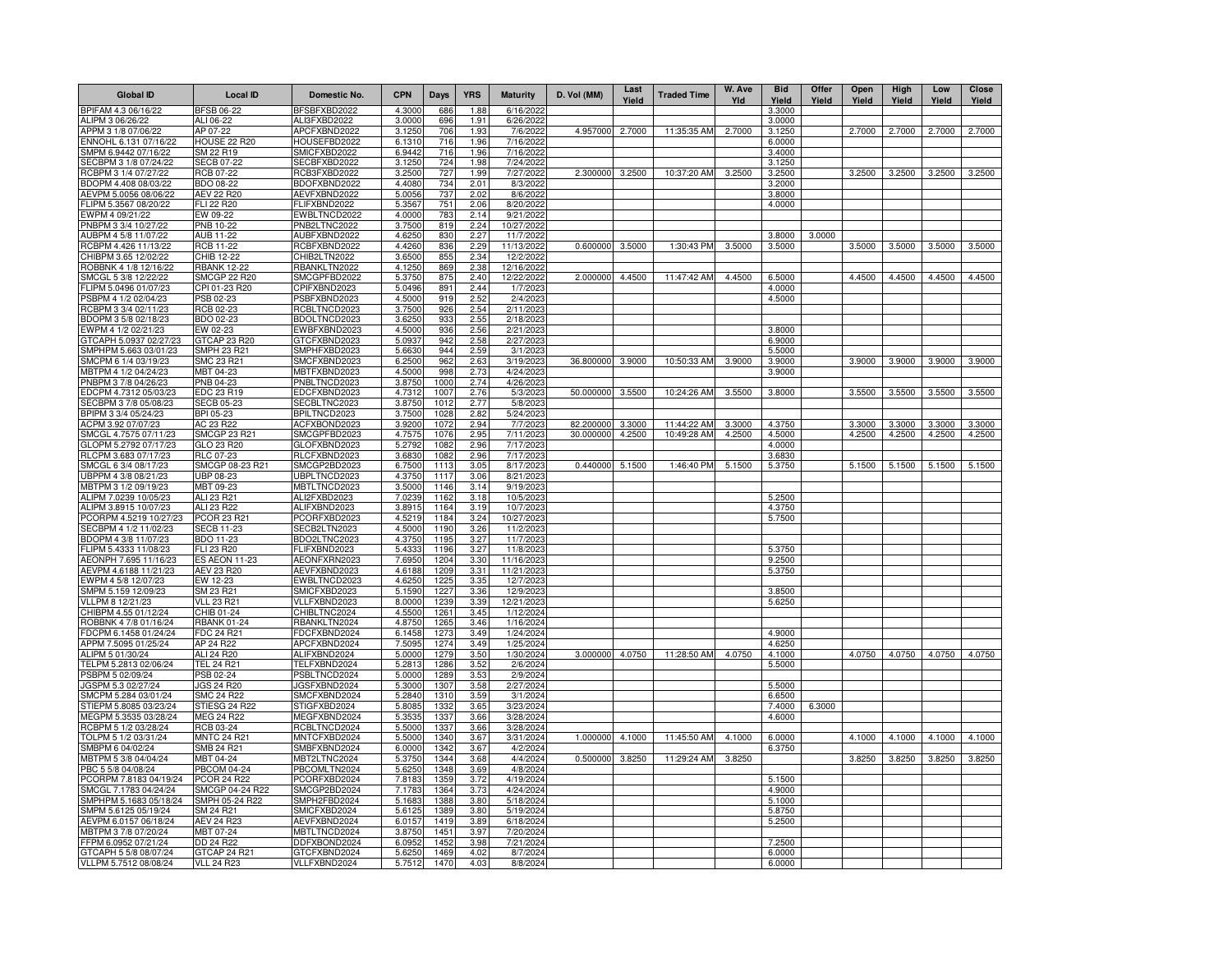| <b>Global ID</b>                              | Local ID                              | Domestic No.                 | <b>CPN</b>       | Days         | <b>YRS</b>   | <b>Maturity</b>         | D. Vol (MM) | Last<br>Yield | <b>Traded Time</b> | W. Ave<br>Yld | <b>Bid</b><br>Yield | Offer<br>Yield | Open<br>Yield | High<br>Yield | Low<br>Yield | Close<br>Yield |
|-----------------------------------------------|---------------------------------------|------------------------------|------------------|--------------|--------------|-------------------------|-------------|---------------|--------------------|---------------|---------------------|----------------|---------------|---------------|--------------|----------------|
| BPIFAM 4.3 06/16/22                           | <b>BFSB 06-22</b>                     | BFSBFXBD2022                 | 4.3000           | 686          | 1.88         | 6/16/2022               |             |               |                    |               | 3.3000              |                |               |               |              |                |
| <b>ILIPM 3 06/26/22</b>                       | ALI 06-22                             | ALI3FXBD2022                 | 3.0000           | 696          | 1.91         | 6/26/2022               |             |               |                    |               | 3.0000              |                |               |               |              |                |
| APPM 3 1/8 07/06/22                           | AP 07-22                              | APCFXBND2022                 | 3.1250           | 706          | 1.93         | 7/6/2022                | 4.957000    | 2.7000        | 11:35:35 AM        | 2.7000        | 3.1250              |                | 2.7000        | 2.7000        | 2.7000       | 2.7000         |
| ENNOHL 6.131 07/16/22                         | <b>HOUSE 22 R20</b>                   | HOUSEFBD2022                 | 6.1310           | 716          | 1.96         | 7/16/2022               |             |               |                    |               | 6.0000              |                |               |               |              |                |
| SMPM 6.9442 07/16/22                          | SM 22 R19                             | SMICFXBD2022                 | 6.9442           | 716          | 1.96         | 7/16/2022               |             |               |                    |               | 3.4000              |                |               |               |              |                |
| SECBPM 3 1/8 07/24/22                         | <b>SECB 07-22</b><br><b>RCB 07-22</b> | ECBFXBD2022                  | 3.125            | 724          | 1.98         | 7/24/2022               |             |               |                    |               | 3.1250              |                |               |               |              |                |
| RCBPM 3 1/4 07/27/22                          |                                       | RCB3FXBD2022                 | 3.2500<br>4.4080 | 727          | 1.99         | 7/27/2022               | 2.300000    | 3.2500        | 10:37:20 AM        | 3.2500        | 3.2500              |                | 3.2500        | 3.2500        | 3.2500       | 3.2500         |
| BDOPM 4.408 08/03/22<br>LEVPM 5.0056 08/06/22 | <b>BDO 08-22</b><br><b>AEV 22 R20</b> | BDOFXBND2022<br>AEVFXBND2022 | 5.0056           | 734<br>737   | 2.01<br>2.02 | 8/3/2022<br>8/6/2022    |             |               |                    |               | 3.2000<br>3.8000    |                |               |               |              |                |
| LIPM 5.3567 08/20/22                          | <b>ELI 22 R20</b>                     | <b>ELIFXBND2022</b>          | 5.3567           | 751          | 2.06         | 8/20/2022               |             |               |                    |               | 4.0000              |                |               |               |              |                |
| WPM 4 09/21/22                                | EW 09-22                              | EWBLTNCD2022                 | 4.0000           | 783          | 2.14         | 9/21/2022               |             |               |                    |               |                     |                |               |               |              |                |
| PNBPM 3 3/4 10/27/22                          | <b>PNB 10-22</b>                      | PNB2LTNC2022                 | 3.7500           | 819          | 2.24         | 10/27/2022              |             |               |                    |               |                     |                |               |               |              |                |
| AUBPM 4 5/8 11/07/22                          | <b>AUB 11-22</b>                      | AUBFXBND2022                 | 4.6250           | 830          | 2.27         | 11/7/2022               |             |               |                    |               | 3.8000              | 3.0000         |               |               |              |                |
| RCBPM 4.426 11/13/22                          | <b>RCB 11-22</b>                      | RCBFXBND2022                 | 4.4260           | 836          | 2.29         | 11/13/2022              | 0.600000    | 3.5000        | 1:30:43 PM         | 3.5000        | 3.5000              |                | 3.5000        | 3.5000        | 3.5000       | 3.5000         |
| CHIBPM 3.65 12/02/22                          | CHIB 12-22                            | CHIB2LTN2022                 | 3.6500           | 855          | 2.34         | 12/2/2022               |             |               |                    |               |                     |                |               |               |              |                |
| ROBBNK 4 1/8 12/16/22                         | <b>RBANK 12-22</b>                    | RBANKLTN2022                 | 4.1250           | 869          | 2.38         | 12/16/2022              |             |               |                    |               |                     |                |               |               |              |                |
| SMCGL 5 3/8 12/22/22                          | <b>SMCGP 22 R20</b>                   | SMCGPFBD2022                 | 5.3750           | 875          | 2.40         | 12/22/2022              | 2.000000    | 4.4500        | 11:47:42 AM        | 4.4500        | 6.5000              |                | 4.4500        | 4.4500        | 4.4500       | 4.4500         |
| LIPM 5.0496 01/07/23                          | CPI 01-23 R20                         | CPIFXBND2023                 | 5.0496           | 891          | 2.44         | 1/7/2023                |             |               |                    |               | 4.0000              |                |               |               |              |                |
| SBPM 4 1/2 02/04/23                           | PSB 02-23                             | PSBFXBND2023                 | 4.5000           | 919          | 2.52         | 2/4/2023                |             |               |                    |               | 4.5000              |                |               |               |              |                |
| RCBPM 3 3/4 02/11/23                          | RCB 02-23                             | RCBLTNCD2023                 | 3.7500           | 926          | 2.54         | 2/11/2023               |             |               |                    |               |                     |                |               |               |              |                |
| BDOPM 3 5/8 02/18/23                          | BDO 02-23                             | BDOLTNCD2023                 | 3.6250           | 933          | 2.55         | 2/18/2023               |             |               |                    |               |                     |                |               |               |              |                |
| EWPM 4 1/2 02/21/23                           | EW 02-23                              | EWBFXBND2023                 | 4.5000           | 936          | 2.56         | 2/21/2023               |             |               |                    |               | 3.8000              |                |               |               |              |                |
| GTCAPH 5.0937 02/27/23                        | GTCAP 23 R20                          | GTCFXBND2023                 | 5.0937           | 942          | 2.58         | 2/27/2023               |             |               |                    |               | 6.9000              |                |               |               |              |                |
| SMPHPM 5.663 03/01/23                         | <b>SMPH 23 R21</b>                    | SMPHFXBD2023                 | 5.6630           | 944          | 2.59         | 3/1/2023                |             |               |                    |               | 5.5000              |                |               |               |              |                |
| SMCPM 6 1/4 03/19/23                          | SMC 23 R21                            | SMCFXBND2023                 | 6.2500           | 962          | 2.63         | 3/19/2023               | 36.800000   | 3.9000        | 10:50:33 AM        | 3.9000        | 3.9000              |                | 3.9000        | 3.9000        | 3.9000       | 3.9000         |
| MBTPM 4 1/2 04/24/23                          | MBT 04-23                             | MBTFXBND2023                 | 4.5000           | 998          | 2.73         | 4/24/2023               |             |               |                    |               | 3.9000              |                |               |               |              |                |
| PNBPM 3 7/8 04/26/23                          | PNB 04-23                             | PNBLTNCD2023                 | 3.8750           | 1000         | 2.74         | 4/26/2023               |             |               |                    |               |                     |                |               |               |              |                |
| EDCPM 4.7312 05/03/23                         | EDC 23 R19                            | EDCFXBND2023                 | 4.7312           | 1007<br>1012 | 2.76         | 5/3/2023                | 50.000000   | 3.5500        | 10:24:26 AM        | 3.5500        | 3.8000              |                | 3.5500        | 3.5500        | 3.5500       | 3.5500         |
| SECBPM 3 7/8 05/08/23<br>BPIPM 3 3/4 05/24/23 | <b>SECB 05-23</b><br>BPI 05-23        | SECBLTNC2023<br>BPILTNCD2023 | 3.8750<br>3.7500 | 1028         | 2.77<br>2.82 | 5/8/2023<br>5/24/2023   |             |               |                    |               |                     |                |               |               |              |                |
| ACPM 3.92 07/07/23                            | AC 23 R22                             | ACFXBOND2023                 | 3.9200           | 1072         | 2.94         | 7/7/2023                | 82.200000   | 3.3000        | 11:44:22 AM        | 3.3000        | 4.3750              |                | 3.3000        | 3.3000        | 3.3000       | 3.3000         |
| SMCGL 4.7575 07/11/23                         | SMCGP 23 R21                          | SMCGPFBD2023                 | 4.7575           | 1076         | 2.95         | 7/11/2023               | 30.000000   | 4.2500        | 10:49:28 AM        | 4.2500        | 4.5000              |                | 4.2500        | 4.2500        | 4.2500       | 4.2500         |
| GLOPM 5.2792 07/17/23                         | GLO 23 R20                            | GLOFXBND2023                 | 5.2792           | 1082         | 2.96         | 7/17/2023               |             |               |                    |               | 4.0000              |                |               |               |              |                |
| RLCPM 3.683 07/17/23                          | <b>RLC 07-23</b>                      | RLCFXBND2023                 | 3.6830           | 1082         | 2.96         | 7/17/2023               |             |               |                    |               | 3.6830              |                |               |               |              |                |
| SMCGL 6 3/4 08/17/23                          | SMCGP 08-23 R21                       | SMCGP2BD2023                 | 6.7500           | 1113         | 3.05         | 8/17/2023               | 0.440000    | 5.1500        | 1:46:40 PM         | 5.1500        | 5.3750              |                | 5.1500        | 5.1500        | 5.1500       | 5.1500         |
| UBPPM 4 3/8 08/21/23                          | UBP 08-23                             | UBPLTNCD2023                 | 4.3750           | 1117         | 3.06         | 8/21/2023               |             |               |                    |               |                     |                |               |               |              |                |
| MBTPM 3 1/2 09/19/23                          | MBT 09-23                             | MBTLTNCD2023                 | 3.5000           | 1146         | 3.14         | 9/19/2023               |             |               |                    |               |                     |                |               |               |              |                |
| ALIPM 7.0239 10/05/23                         | ALI 23 R21                            | ALI2FXBD2023                 | 7.0239           | 1162         | 3.18         | 10/5/2023               |             |               |                    |               | 5.2500              |                |               |               |              |                |
| ALIPM 3.8915 10/07/23                         | ALI 23 R22                            | ALIFXBND2023                 | 3.8915           | 1164         | 3.19         | 10/7/2023               |             |               |                    |               | 4.3750              |                |               |               |              |                |
| PCORPM 4.5219 10/27/23                        | PCOR 23 R21                           | PCORFXBD2023                 | 4.5219           | 1184         | 3.24         | 10/27/2023              |             |               |                    |               | 5.7500              |                |               |               |              |                |
| SECBPM 4 1/2 11/02/23                         | <b>SECB 11-23</b>                     | SECB2LTN2023                 | 4.5000           | 1190         | 3.26         | 11/2/2023               |             |               |                    |               |                     |                |               |               |              |                |
| BDOPM 4 3/8 11/07/23                          | BDO 11-23                             | BDO2LTNC2023                 | 4.3750           | 1195         | 3.27         | 11/7/2023               |             |               |                    |               |                     |                |               |               |              |                |
| FLIPM 5.4333 11/08/23                         | FLI 23 R20                            | FLIFXBND2023                 | 5.4333           | 1196         | 3.27         | 11/8/2023               |             |               |                    |               | 5.3750              |                |               |               |              |                |
| AEONPH 7.695 11/16/23                         | <b>ES AEON 11-23</b>                  | AEONFXRN2023                 | 7.6950           | 1204         | 3.30         | 11/16/2023              |             |               |                    |               | 9.2500              |                |               |               |              |                |
| AEVPM 4.6188 11/21/23                         | <b>AEV 23 R20</b>                     | AEVFXBND2023                 | 4.6188           | 1209         | 3.31         | 11/21/2023              |             |               |                    |               | 5.3750              |                |               |               |              |                |
| EWPM 4 5/8 12/07/23                           | EW 12-23                              | EWBLTNCD2023                 | 4.6250           | 1225         | 3.35         | 12/7/2023               |             |               |                    |               |                     |                |               |               |              |                |
| SMPM 5.159 12/09/23                           | SM 23 R21                             | SMICFXBD2023                 | 5.1590           | 1227         | 3.36         | 12/9/2023               |             |               |                    |               | 3.8500<br>5.6250    |                |               |               |              |                |
| VLLPM 8 12/21/23                              | <b>VLL 23 R21</b><br>CHIB 01-24       | VLLFXBND2023                 | 8.0000           | 1239         | 3.39         | 12/21/2023<br>1/12/2024 |             |               |                    |               |                     |                |               |               |              |                |
| CHIBPM 4.55 01/12/24<br>ROBBNK 4 7/8 01/16/24 | <b>RBANK 01-24</b>                    | CHIBLTNC2024<br>RBANKLTN2024 | 4.5500<br>4.8750 | 1261<br>1265 | 3.45<br>3.46 | 1/16/2024               |             |               |                    |               |                     |                |               |               |              |                |
| DCPM 6.1458 01/24/24                          | <b>FDC 24 R21</b>                     | FDCFXBND2024                 | 6.1458           | 1273         | 3.49         | 1/24/2024               |             |               |                    |               | 4.9000              |                |               |               |              |                |
| APPM 7.5095 01/25/24                          | AP 24 R22                             | APCFXBND2024                 | 7.509            | 1274         | 3.49         | 1/25/2024               |             |               |                    |               | 4.6250              |                |               |               |              |                |
| ALIPM 5 01/30/24                              | ALI 24 R20                            | ALIFXBND2024                 | 5.000            | 1279         | 3.50         | 1/30/2024               | 3.000000    | 4.0750        | 11:28:50 AM        | 4.0750        | 4.1000              |                | 4.0750        | 4.0750        | 4.0750       | 4.0750         |
| TELPM 5.2813 02/06/24                         | <b>TEL 24 R21</b>                     | TELFXBND2024                 | 5.281            | 1286         | 3.52         | 2/6/2024                |             |               |                    |               | 5.5000              |                |               |               |              |                |
| SBPM 5 02/09/24                               | PSB 02-24                             | PSBLTNCD2024                 | 5.000            | 1289         | 3.53         | 2/9/2024                |             |               |                    |               |                     |                |               |               |              |                |
| GSPM 5.3 02/27/24                             | <b>JGS 24 R20</b>                     | JGSFXBND2024                 | 5.300            | 1307         | 3.58         | 2/27/2024               |             |               |                    |               | 5.5000              |                |               |               |              |                |
| SMCPM 5.284 03/01/24                          | SMC 24 R22                            | SMCFXBND2024                 | 5.2840           | 1310         | 3.59         | 3/1/2024                |             |               |                    |               | 6.6500              |                |               |               |              |                |
| STIEPM 5.8085 03/23/24                        | STIESG 24 R22                         | STIGFXBD2024                 | 5.808            | 1332         | 3.65         | 3/23/2024               |             |               |                    |               | 7.4000              | 6.3000         |               |               |              |                |
| //EGPM 5.3535 03/28                           | <b>MEG 24 R22</b>                     | MEGFXBND2024                 | 5.3535           | 1337         | 3.66         | 3/28/2024               |             |               |                    |               | 4.6000              |                |               |               |              |                |
| RCBPM 5 1/2 03/28/24                          | RCB 03-24                             | RCBLTNCD2024                 | 5.5000           | 1337         | 3.66         | 3/28/2024               |             |               |                    |               |                     |                |               |               |              |                |
| TOLPM 5 1/2 03/31/24                          | <b>MNTC 24 R21</b>                    | MNTCFXBD2024                 | 5.500            | 1340         | 3.67         | 3/31/2024               | 1.000000    | 4.1000        | 11:45:50 AM        | 4.1000        | 6.0000              |                | 4.1000        | 4.1000        | 4.1000       | 4.1000         |
| SMBPM 6 04/02/24                              | SMB 24 R21                            | SMBFXBND2024                 | 6.000            | 1342         | 3.67         | 4/2/2024                |             |               |                    |               | 6.3750              |                |               |               |              |                |
| IBTPM 5 3/8 04/04/24                          | MBT 04-24                             | MBT2LTNC2024                 | 5.3750           | 1344         | 3.68         | 4/4/2024                | 0.500000    | 3.8250        | 11:29:24 AM        | 3.8250        |                     |                | 3.8250        | 3.8250        | 3.8250       | 3.8250         |
| BC 5 5/8 04/08/24                             | <b>PBCOM 04-24</b>                    | PBCOMLTN2024                 | 5.6250           | 1348         | 3.69         | 4/8/2024                |             |               |                    |               |                     |                |               |               |              |                |
| CORPM 7.8183 04/19/24                         | <b>PCOR 24 R22</b>                    | PCORFXBD2024                 | 7.8183           | 1359         | 3.72         | 4/19/2024               |             |               |                    |               | 5.1500              |                |               |               |              |                |
| SMCGL 7.1783 04/24/24                         | SMCGP 04-24 R22                       | SMCGP2BD2024                 | 7.1783           | 1364         | 3.73         | 4/24/2024               |             |               |                    |               | 4.9000              |                |               |               |              |                |
| SMPHPM 5.1683 05/18/24                        | SMPH 05-24 R22                        | SMPH2FBD2024                 | 5.1683           | 1388         | 3.80         | 5/18/2024               |             |               |                    |               | 5.1000              |                |               |               |              |                |
| SMPM 5.6125 05/19/24                          | SM 24 R21                             | SMICFXBD2024                 | 5.6125           | 1389         | 3.80         | 5/19/2024               |             |               |                    |               | 5.8750              |                |               |               |              |                |
| AEVPM 6.0157 06/18/24                         | <b>AEV 24 R23</b>                     | AEVFXBND2024                 | 6.0157           | 1419         | 3.89         | 6/18/2024               |             |               |                    |               | 5.2500              |                |               |               |              |                |
| ABTPM 3 7/8 07/20/24<br>FPM 6.0952 07/21/24   | MBT 07-24<br>DD 24 R22                | MBTLTNCD2024<br>DDFXBOND2024 | 3.8750<br>6.0952 | 1451<br>1452 | 3.97<br>3.98 | 7/20/2024<br>7/21/2024  |             |               |                    |               | 7.2500              |                |               |               |              |                |
| GTCAPH 5 5/8 08/07/24                         | GTCAP 24 R21                          | GTCFXBND2024                 | 5.6250           | 1469         | 4.02         | 8/7/2024                |             |               |                    |               | 6.0000              |                |               |               |              |                |
| VLLPM 5.7512 08/08/24                         | <b>VLL 24 R23</b>                     | VLLFXBND2024                 | 5.7512           | 1470         | 4.03         | 8/8/2024                |             |               |                    |               | 6.0000              |                |               |               |              |                |
|                                               |                                       |                              |                  |              |              |                         |             |               |                    |               |                     |                |               |               |              |                |